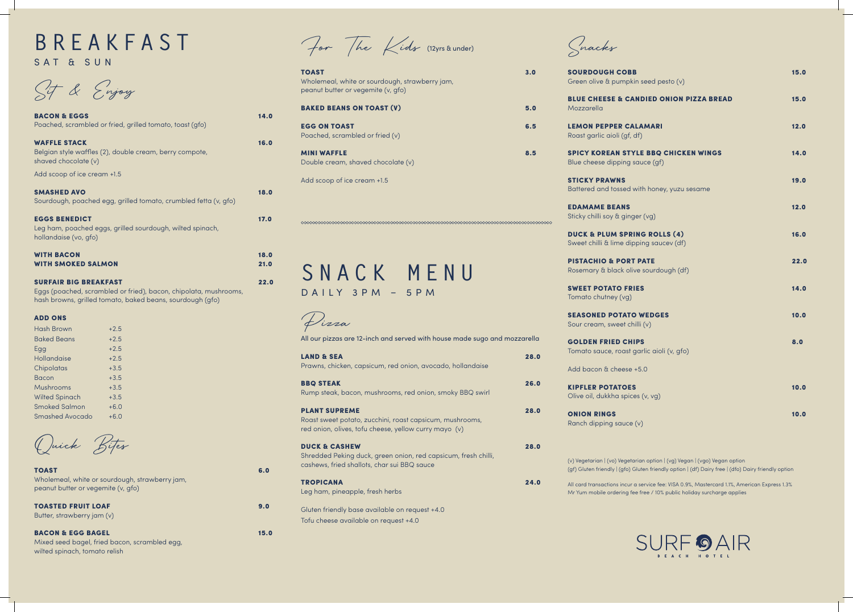Snacks

SOURDOUGH CO Green olive & pun

**BLUE CHEESE &** Mozzarella

**LEMON PEPPER** Roast garlic aioli

**SPICY KOREAN** Blue cheese dippi

**STICKY PRAWNS Battered and toss** 

**EDAMAME BEAN** Sticky chilli soy &

**DUCK & PLUM S** Sweet chilli & lime

**PISTACHIO & PO** Rosemary & black

SWEET POTATO Tomato chutney (v

**SEASONED POTA** Sour cream, sweet

**GOLDEN FRIED** Tomato sauce, ro

Add bacon & chee

**KIPFLER POTATO** Olive oil, dukkha s

**ONION RINGS** Ranch dipping sauce (v)

# **BREAKFAST** SAT & SUN

Sit & Enjoy

BACON & EGG BAGEL 15.0 Mixed seed bagel, fried bacon, scrambled egg, wilted spinach, tomato relish

| <b>BACON &amp; EGGS</b><br>Poached, scrambled or fried, grilled tomato, toast (gfo)                                                                           | 14.0 |
|---------------------------------------------------------------------------------------------------------------------------------------------------------------|------|
| <b>WAFFLE STACK</b><br>Belgian style waffles (2), double cream, berry compote,<br>shaved chocolate (v)                                                        | 16.0 |
| Add scoop of ice cream +1.5                                                                                                                                   |      |
| <b>SMASHED AVO</b><br>Sourdough, poached egg, grilled tomato, crumbled fetta (v, gfo)                                                                         | 18.0 |
| <b>EGGS BENEDICT</b><br>Leg ham, poached eggs, grilled sourdough, wilted spinach,<br>hollandaise (vo, gfo)                                                    | 17.0 |
| <b>WITH BACON</b>                                                                                                                                             | 18.0 |
| <b>WITH SMOKED SALMON</b>                                                                                                                                     | 21.0 |
| <b>SURFAIR BIG BREAKFAST</b><br>Eggs (poached, scrambled or fried), bacon, chipolata, mushrooms,<br>hash browns, grilled tomato, baked beans, sourdough (gfo) | 22.0 |
| <b>ADD ONS</b>                                                                                                                                                |      |

| <b>Hash Brown</b>     | $+2.5$ |
|-----------------------|--------|
| <b>Baked Beans</b>    | $+2.5$ |
| Egg                   | $+2.5$ |
| Hollandaise           | $+2.5$ |
| Chipolatas            | $+3.5$ |
| Bacon                 | $+3.5$ |
| Mushrooms             | $+3.5$ |
| <b>Wilted Spinach</b> | $+3.5$ |
| <b>Smoked Salmon</b>  | $+6.0$ |
| Smashed Avocado       | $+6.0$ |

Duick Bites

| <b>TOAST</b>                                   | 6.0 |
|------------------------------------------------|-----|
| Wholemeal, white or sourdough, strawberry jam, |     |
| peanut butter or vegemite (v, gfo)             |     |

TOASTED FRUIT LOAF 9.0 Butter, strawberry jam (v)

For The Kids (12yrs & under)

| <b>TOAST</b><br>Wholemeal, white or sourdough, strawberry jam,<br>peanut butter or vegemite (v, gfo) | 3.0 |
|------------------------------------------------------------------------------------------------------|-----|
| <b>BAKED BEANS ON TOAST (V)</b>                                                                      | 5.0 |
| <b>EGG ON TOAST</b><br>Poached, scrambled or fried $(v)$                                             | 6.5 |
| <b>MINI WAFFLE</b><br>Double cream, shaved chocolate (v)                                             |     |
| Add scoop of ice cream +1.5                                                                          |     |



Pizza

| All our pizzas are 12-inch and served with house made sugo and mozzarella                                                                 |      |
|-------------------------------------------------------------------------------------------------------------------------------------------|------|
| <b>LAND &amp; SEA</b><br>Prawns, chicken, capsicum, red onion, avocado, hollandaise                                                       | 28.0 |
| <b>BBQ STEAK</b><br>Rump steak, bacon, mushrooms, red onion, smoky BBQ swirl                                                              | 26.0 |
| <b>PLANT SUPREME</b><br>Roast sweet potato, zucchini, roast capsicum, mushrooms,<br>red onion, olives, tofu cheese, yellow curry mayo (v) | 28.0 |
| <b>DUCK &amp; CASHEW</b><br>Shredded Peking duck, green onion, red capsicum, fresh chilli,<br>cashews, fried shallots, char sui BBQ sauce | 28.0 |
| <b>TROPICANA</b><br>Leg ham, pineapple, fresh herbs                                                                                       | 24.0 |
| Gluten friendly base available on request +4.0                                                                                            |      |
| Tofu cheese available on request +4.0                                                                                                     |      |

(v) Vegetarian | (vo) Vegetarian option | (vg) Vegan | (vgo) Vegan option (gf) Gluten friendly | (gfo) Gluten friendly option | (df) Dairy free | (dfo) Dairy friendly option

All card transactions incur a service fee: VISA 0.9%, Mastercard 1.1%, American Express 1.3% Mr Yum mobile ordering fee free / 10% public holiday surcharge applies

| $O$ BB<br>npkin seed pesto (v)                  | 15.0 |
|-------------------------------------------------|------|
| <b>CANDIED ONION PIZZA BREAD</b>                | 15.0 |
| <b>CALAMARI</b><br>gf, df)                      | 12.0 |
| <b>STYLE BBQ CHICKEN WINGS</b><br>ng sauce (gf) | 14.0 |
| š<br>ed with honey, yuzu sesame                 | 19.0 |
| <b>IS</b><br>ginger (vg)                        | 12.0 |
| <b>PRING ROLLS (4)</b><br>dipping saucev (df)   | 16.0 |
| <b>PRT PATE</b><br>olive sourdough (df)         | 22.0 |
| <b>FRIES</b><br>vg)                             | 14.0 |
| <b>ATO WEDGES</b><br>t chilli (v)               | 10.0 |
| <b>CHIPS</b><br>ast garlic aioli (v, gfo)       | 8.0  |
| ese +5.0                                        |      |
| <b>DES</b><br>pices (v, vg)                     | 10.0 |
| $\overline{C}$ $\overline{C}$                   | 10.0 |